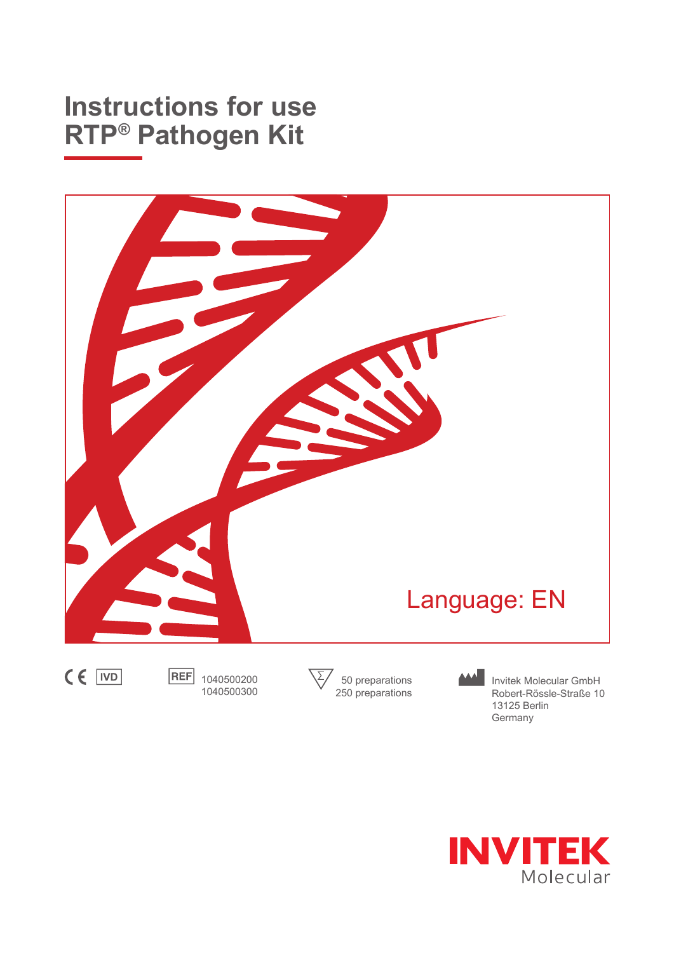# **Instructions for use RTP® Pathogen Kit**





1040500300

Invitek Molecular GmbH Robert-Rössle-Straße 10 13125 Berlin Germany

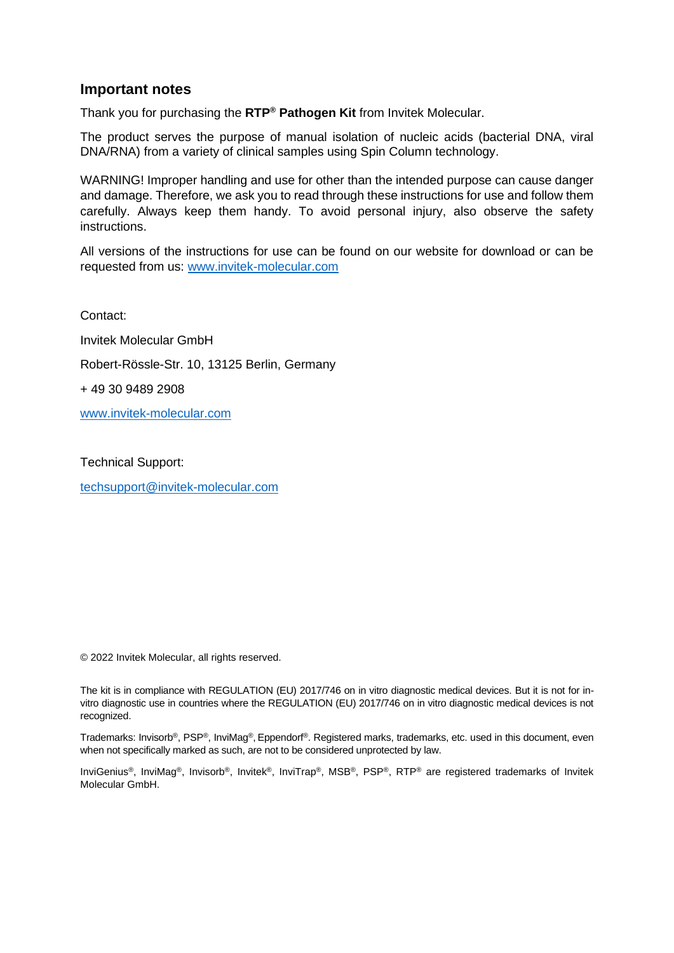#### **Important notes**

Thank you for purchasing the **RTP® Pathogen Kit** from Invitek Molecular.

The product serves the purpose of manual isolation of nucleic acids (bacterial DNA, viral DNA/RNA) from a variety of clinical samples using Spin Column technology.

WARNING! Improper handling and use for other than the intended purpose can cause danger and damage. Therefore, we ask you to read through these instructions for use and follow them carefully. Always keep them handy. To avoid personal injury, also observe the safety instructions.

All versions of the instructions for use can be found on our website for download or can be requested from us: [www.invitek-molecular.com](http://www.invitek-molecular.com/)

Contact: Invitek Molecular GmbH Robert-Rössle-Str. 10, 13125 Berlin, Germany + 49 30 9489 2908 [www.invitek-molecular.com](http://www.invitek-molecular.com/)

Technical Support: [techsupport@invitek-molecular.com](mailto:techsupport@invitek-molecular.com)

© 2022 Invitek Molecular, all rights reserved.

The kit is in compliance with REGULATION (EU) 2017/746 on in vitro diagnostic medical devices. But it is not for invitro diagnostic use in countries where the REGULATION (EU) 2017/746 on in vitro diagnostic medical devices is not recognized.

Trademarks: Invisorb®, PSP®, InviMag®, Eppendorf®. Registered marks, trademarks, etc. used in this document, even when not specifically marked as such, are not to be considered unprotected by law.

InviGenius®, InviMag®, Invisorb®, Invitek®, InviTrap®, MSB®, PSP®, RTP® are registered trademarks of Invitek Molecular GmbH.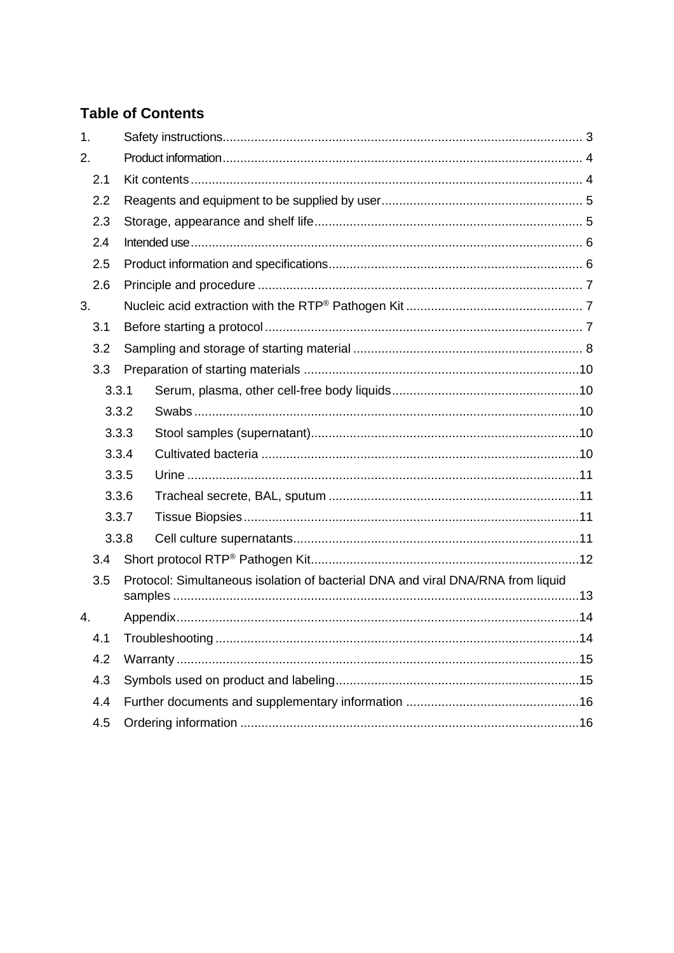### **Table of Contents**

| 1. |       |  |                                                                                 |  |  |
|----|-------|--|---------------------------------------------------------------------------------|--|--|
| 2. |       |  |                                                                                 |  |  |
|    | 2.1   |  |                                                                                 |  |  |
|    | 2.2   |  |                                                                                 |  |  |
|    | 2.3   |  |                                                                                 |  |  |
|    | 2.4   |  |                                                                                 |  |  |
|    | 2.5   |  |                                                                                 |  |  |
|    | 2.6   |  |                                                                                 |  |  |
| 3. |       |  |                                                                                 |  |  |
|    | 3.1   |  |                                                                                 |  |  |
|    | 3.2   |  |                                                                                 |  |  |
|    | 3.3   |  |                                                                                 |  |  |
|    | 3.3.1 |  |                                                                                 |  |  |
|    | 3.3.2 |  |                                                                                 |  |  |
|    | 3.3.3 |  |                                                                                 |  |  |
|    | 3.3.4 |  |                                                                                 |  |  |
|    | 3.3.5 |  |                                                                                 |  |  |
|    | 3.3.6 |  |                                                                                 |  |  |
|    | 3.3.7 |  |                                                                                 |  |  |
|    | 3.3.8 |  |                                                                                 |  |  |
|    | 3.4   |  |                                                                                 |  |  |
|    | 3.5   |  | Protocol: Simultaneous isolation of bacterial DNA and viral DNA/RNA from liquid |  |  |
|    |       |  |                                                                                 |  |  |
| 4. |       |  |                                                                                 |  |  |
|    | 4.1   |  |                                                                                 |  |  |
|    | 4.2   |  |                                                                                 |  |  |
|    | 4.3   |  |                                                                                 |  |  |
|    | 4.4   |  |                                                                                 |  |  |
|    | 4.5   |  |                                                                                 |  |  |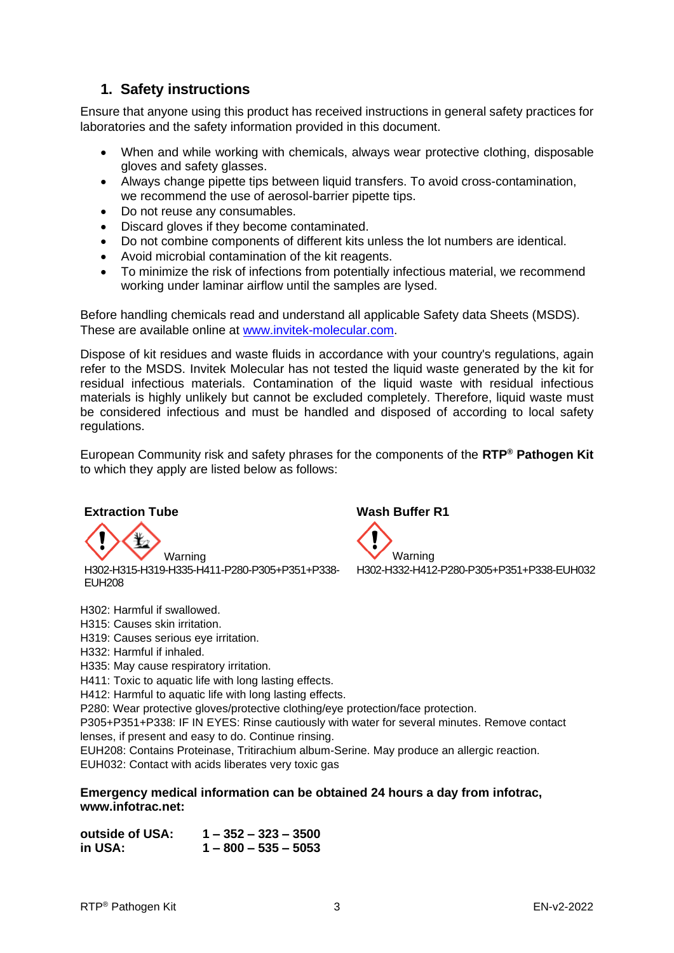### <span id="page-3-0"></span>**1. Safety instructions**

Ensure that anyone using this product has received instructions in general safety practices for laboratories and the safety information provided in this document.

- When and while working with chemicals, always wear protective clothing, disposable gloves and safety glasses.
- Always change pipette tips between liquid transfers. To avoid cross-contamination, we recommend the use of aerosol-barrier pipette tips.
- Do not reuse any consumables.
- Discard gloves if they become contaminated.
- Do not combine components of different kits unless the lot numbers are identical.
- Avoid microbial contamination of the kit reagents.
- To minimize the risk of infections from potentially infectious material, we recommend working under laminar airflow until the samples are lysed.

Before handling chemicals read and understand all applicable Safety data Sheets (MSDS). These are available online at [www.invitek-molecular.com.](http://www.invitek-molecular.com/)

Dispose of kit residues and waste fluids in accordance with your country's regulations, again refer to the MSDS. Invitek Molecular has not tested the liquid waste generated by the kit for residual infectious materials. Contamination of the liquid waste with residual infectious materials is highly unlikely but cannot be excluded completely. Therefore, liquid waste must be considered infectious and must be handled and disposed of according to local safety regulations.

European Community risk and safety phrases for the components of the **RTP® Pathogen Kit** to which they apply are listed below as follows:

#### **Extraction Tube Wash Buffer R1**

H302-H315-H319-H335-H411-P280-P305+P351+P338- EUH208

H302: Harmful if swallowed. H315: Causes skin irritation. H319: Causes serious eye irritation. H332: Harmful if inhaled. H335: May cause respiratory irritation.

H411: Toxic to aquatic life with long lasting effects.

H412: Harmful to aquatic life with long lasting effects.

P280: Wear protective gloves/protective clothing/eye protection/face protection.

P305+P351+P338: IF IN EYES: Rinse cautiously with water for several minutes. Remove contact lenses, if present and easy to do. Continue rinsing.

EUH208: Contains Proteinase, Tritirachium album-Serine. May produce an allergic reaction. EUH032: Contact with acids liberates very toxic gas

**Emergency medical information can be obtained 24 hours a day from infotrac, www.infotrac.net:**

**outside of USA: 1 – 352 – 323 – 3500 in USA: 1 – 800 – 535 – 5053** 

Warning<br>
Warning<br>
Warning H302-H332-H412-P280-P305+P351+P338-EUH032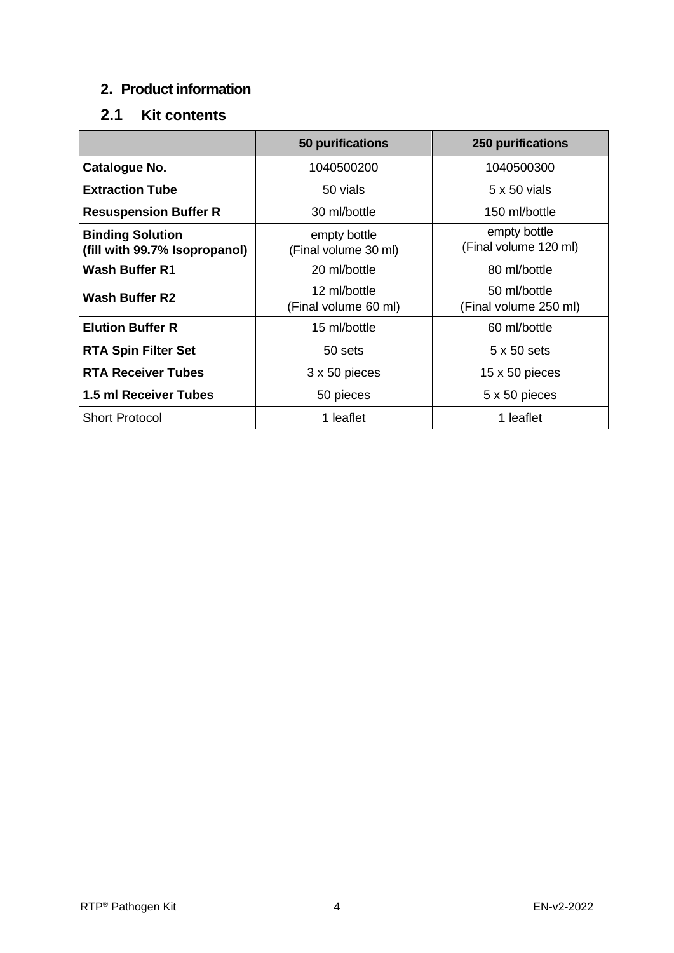### <span id="page-4-0"></span>**2. Product information**

# <span id="page-4-1"></span>**2.1 Kit contents**

|                                                          | 50 purifications                     | <b>250 purifications</b>              |
|----------------------------------------------------------|--------------------------------------|---------------------------------------|
| Catalogue No.                                            | 1040500200                           | 1040500300                            |
| <b>Extraction Tube</b>                                   | 50 vials                             | 5 x 50 vials                          |
| <b>Resuspension Buffer R</b>                             | 30 ml/bottle                         | 150 ml/bottle                         |
| <b>Binding Solution</b><br>(fill with 99.7% Isopropanol) | empty bottle<br>(Final volume 30 ml) | empty bottle<br>(Final volume 120 ml) |
| <b>Wash Buffer R1</b>                                    | 20 ml/bottle                         | 80 ml/bottle                          |
| <b>Wash Buffer R2</b>                                    | 12 ml/bottle<br>(Final volume 60 ml) | 50 ml/bottle<br>(Final volume 250 ml) |
| <b>Elution Buffer R</b>                                  | 15 ml/bottle                         | 60 ml/bottle                          |
| <b>RTA Spin Filter Set</b>                               | 50 sets                              | $5 \times 50$ sets                    |
| <b>RTA Receiver Tubes</b>                                | 3 x 50 pieces                        | $15 \times 50$ pieces                 |
| 1.5 ml Receiver Tubes                                    | 50 pieces                            | 5 x 50 pieces                         |
| <b>Short Protocol</b>                                    | 1 leaflet                            | 1 leaflet                             |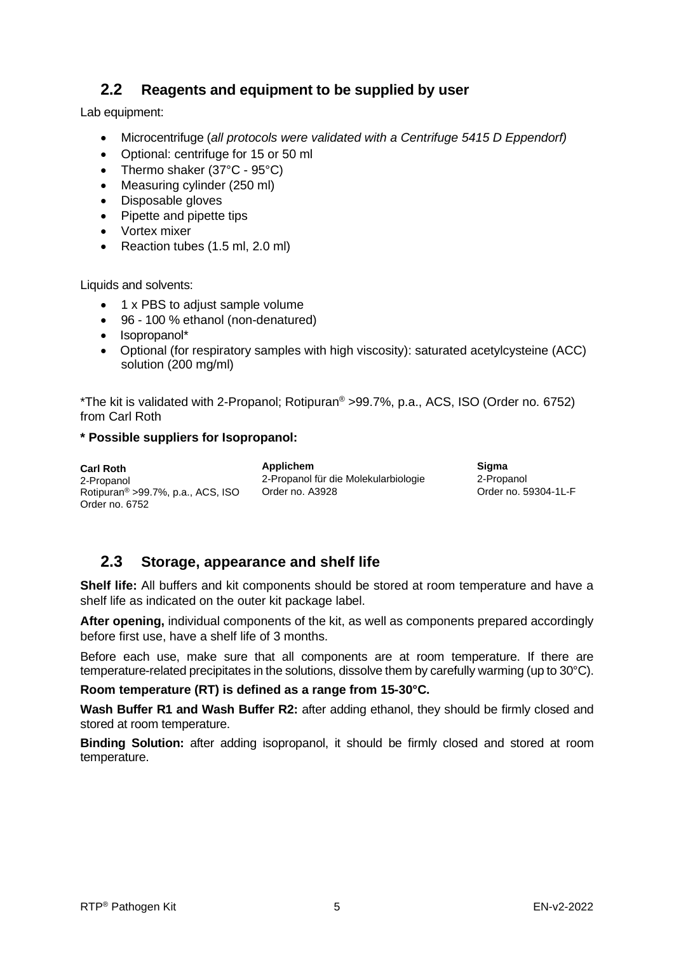### <span id="page-5-0"></span>**2.2 Reagents and equipment to be supplied by user**

Lab equipment:

- Microcentrifuge (*all protocols were validated with a Centrifuge 5415 D Eppendorf)*
- Optional: centrifuge for 15 or 50 ml
- Thermo shaker (37°C 95°C)
- Measuring cylinder (250 ml)
- Disposable gloves
- Pipette and pipette tips
- Vortex mixer
- Reaction tubes (1.5 ml, 2.0 ml)

Liquids and solvents:

- 1 x PBS to adjust sample volume
- 96 100 % ethanol (non-denatured)
- Isopropanol\*
- Optional (for respiratory samples with high viscosity): saturated acetylcysteine (ACC) solution (200 mg/ml)

\*The kit is validated with 2-Propanol; Rotipuran® >99.7%, p.a., ACS, ISO (Order no. 6752) from Carl Roth

#### **\* Possible suppliers for Isopropanol:**

**Carl Roth** 2-Propanol Rotipuran® >99.7%, p.a., ACS, ISO Order no. 6752

**Applichem** 2-Propanol für die Molekularbiologie Order no. A3928

**Sigma** 2-Propanol Order no. 59304-1L-F

### <span id="page-5-1"></span>**2.3 Storage, appearance and shelf life**

**Shelf life:** All buffers and kit components should be stored at room temperature and have a shelf life as indicated on the outer kit package label.

**After opening,** individual components of the kit, as well as components prepared accordingly before first use, have a shelf life of 3 months.

Before each use, make sure that all components are at room temperature. If there are temperature-related precipitates in the solutions, dissolve them by carefully warming (up to 30°C).

**Room temperature (RT) is defined as a range from 15-30°C.**

**Wash Buffer R1 and Wash Buffer R2:** after adding ethanol, they should be firmly closed and stored at room temperature.

**Binding Solution:** after adding isopropanol, it should be firmly closed and stored at room temperature.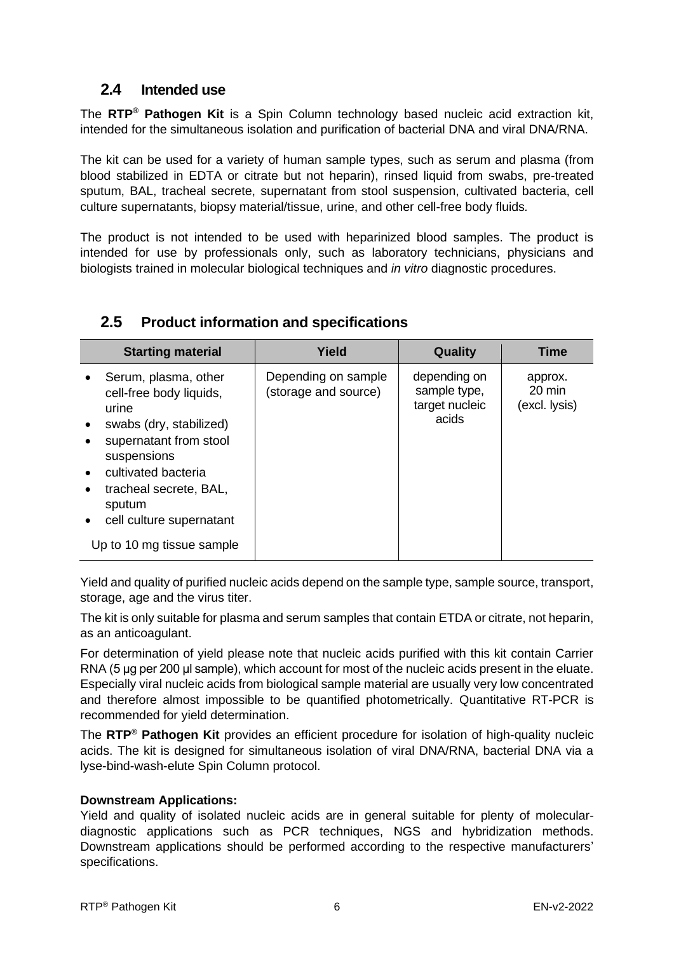### <span id="page-6-0"></span>**2.4 Intended use**

The **RTP® Pathogen Kit** is a Spin Column technology based nucleic acid extraction kit, intended for the simultaneous isolation and purification of bacterial DNA and viral DNA/RNA.

The kit can be used for a variety of human sample types, such as serum and plasma (from blood stabilized in EDTA or citrate but not heparin), rinsed liquid from swabs, pre-treated sputum, BAL, tracheal secrete, supernatant from stool suspension, cultivated bacteria, cell culture supernatants, biopsy material/tissue, urine, and other cell-free body fluids*.* 

The product is not intended to be used with heparinized blood samples. The product is intended for use by professionals only, such as laboratory technicians, physicians and biologists trained in molecular biological techniques and *in vitro* diagnostic procedures.

| <b>Starting material</b>                                                                                                                                                                                                                         | Yield                                       | Quality                                                 | <b>Time</b>                                  |
|--------------------------------------------------------------------------------------------------------------------------------------------------------------------------------------------------------------------------------------------------|---------------------------------------------|---------------------------------------------------------|----------------------------------------------|
| Serum, plasma, other<br>cell-free body liquids,<br>urine<br>swabs (dry, stabilized)<br>supernatant from stool<br>suspensions<br>cultivated bacteria<br>tracheal secrete, BAL,<br>sputum<br>cell culture supernatant<br>Up to 10 mg tissue sample | Depending on sample<br>(storage and source) | depending on<br>sample type,<br>target nucleic<br>acids | approx.<br>$20 \text{ min}$<br>(excl. lysis) |

### <span id="page-6-1"></span>**2.5 Product information and specifications**

Yield and quality of purified nucleic acids depend on the sample type, sample source, transport, storage, age and the virus titer.

The kit is only suitable for plasma and serum samples that contain ETDA or citrate, not heparin, as an anticoagulant.

For determination of yield please note that nucleic acids purified with this kit contain Carrier RNA (5 μg per 200 μl sample), which account for most of the nucleic acids present in the eluate. Especially viral nucleic acids from biological sample material are usually very low concentrated and therefore almost impossible to be quantified photometrically. Quantitative RT-PCR is recommended for yield determination.

The **RTP® Pathogen Kit** provides an efficient procedure for isolation of high-quality nucleic acids. The kit is designed for simultaneous isolation of viral DNA/RNA, bacterial DNA via a lyse-bind-wash-elute Spin Column protocol.

#### **Downstream Applications:**

Yield and quality of isolated nucleic acids are in general suitable for plenty of moleculardiagnostic applications such as PCR techniques, NGS and hybridization methods. Downstream applications should be performed according to the respective manufacturers' specifications.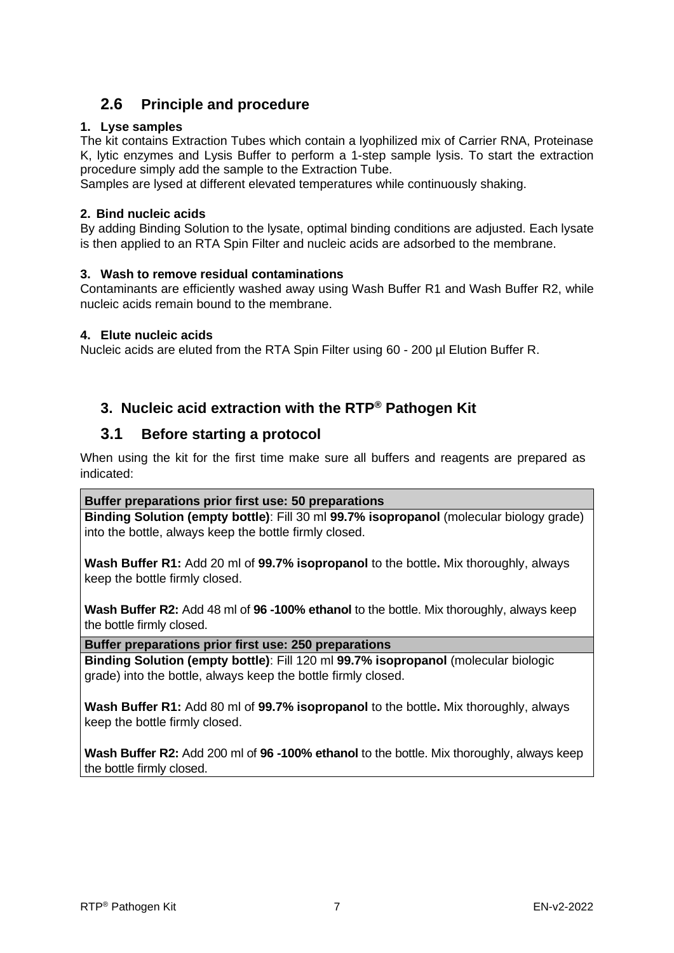### <span id="page-7-0"></span>**2.6 Principle and procedure**

#### **1. Lyse samples**

The kit contains Extraction Tubes which contain a lyophilized mix of Carrier RNA, Proteinase K, lytic enzymes and Lysis Buffer to perform a 1-step sample lysis. To start the extraction procedure simply add the sample to the Extraction Tube.

Samples are lysed at different elevated temperatures while continuously shaking.

#### **2. Bind nucleic acids**

By adding Binding Solution to the lysate, optimal binding conditions are adjusted. Each lysate is then applied to an RTA Spin Filter and nucleic acids are adsorbed to the membrane.

#### **3. Wash to remove residual contaminations**

Contaminants are efficiently washed away using Wash Buffer R1 and Wash Buffer R2, while nucleic acids remain bound to the membrane.

#### **4. Elute nucleic acids**

Nucleic acids are eluted from the RTA Spin Filter using 60 - 200 µl Elution Buffer R.

### <span id="page-7-1"></span>**3. Nucleic acid extraction with the RTP® Pathogen Kit**

#### <span id="page-7-2"></span>**3.1 Before starting a protocol**

When using the kit for the first time make sure all buffers and reagents are prepared as indicated:

#### **Buffer preparations prior first use: 50 preparations**

**Binding Solution (empty bottle)**: Fill 30 ml **99.7% isopropanol** (molecular biology grade) into the bottle, always keep the bottle firmly closed.

**Wash Buffer R1:** Add 20 ml of **99.7% isopropanol** to the bottle**.** Mix thoroughly, always keep the bottle firmly closed.

**Wash Buffer R2:** Add 48 ml of **96 -100% ethanol** to the bottle. Mix thoroughly, always keep the bottle firmly closed.

**Buffer preparations prior first use: 250 preparations**

**Binding Solution (empty bottle)**: Fill 120 ml **99.7% isopropanol** (molecular biologic grade) into the bottle, always keep the bottle firmly closed.

**Wash Buffer R1:** Add 80 ml of **99.7% isopropanol** to the bottle**.** Mix thoroughly, always keep the bottle firmly closed.

**Wash Buffer R2:** Add 200 ml of **96 -100% ethanol** to the bottle. Mix thoroughly, always keep the bottle firmly closed.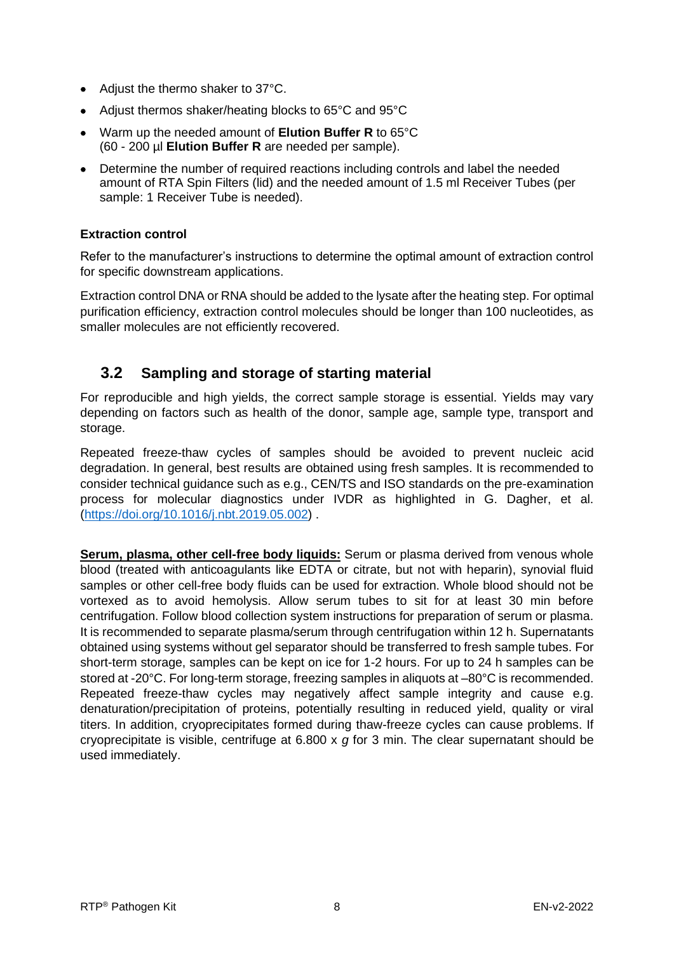- Adjust the thermo shaker to 37°C.
- Adjust thermos shaker/heating blocks to 65°C and 95°C
- Warm up the needed amount of **Elution Buffer R** to 65°C (60 - 200 µl **Elution Buffer R** are needed per sample).
- Determine the number of required reactions including controls and label the needed amount of RTA Spin Filters (lid) and the needed amount of 1.5 ml Receiver Tubes (per sample: 1 Receiver Tube is needed).

#### **Extraction control**

Refer to the manufacturer's instructions to determine the optimal amount of extraction control for specific downstream applications.

Extraction control DNA or RNA should be added to the lysate after the heating step. For optimal purification efficiency, extraction control molecules should be longer than 100 nucleotides, as smaller molecules are not efficiently recovered.

### <span id="page-8-0"></span>**3.2 Sampling and storage of starting material**

For reproducible and high yields, the correct sample storage is essential. Yields may vary depending on factors such as health of the donor, sample age, sample type, transport and storage.

Repeated freeze-thaw cycles of samples should be avoided to prevent nucleic acid degradation. In general, best results are obtained using fresh samples. It is recommended to consider technical guidance such as e.g., CEN/TS and ISO standards on the pre-examination process for molecular diagnostics under IVDR as highlighted in G. Dagher, et al. [\(https://doi.org/10.1016/j.nbt.2019.05.002\)](https://doi.org/10.1016/j.nbt.2019.05.002) .

**Serum, plasma, other cell-free body liquids:** Serum or plasma derived from venous whole blood (treated with anticoagulants like EDTA or citrate, but not with heparin), synovial fluid samples or other cell-free body fluids can be used for extraction. Whole blood should not be vortexed as to avoid hemolysis. Allow serum tubes to sit for at least 30 min before centrifugation. Follow blood collection system instructions for preparation of serum or plasma. It is recommended to separate plasma/serum through centrifugation within 12 h. Supernatants obtained using systems without gel separator should be transferred to fresh sample tubes. For short-term storage, samples can be kept on ice for 1-2 hours. For up to 24 h samples can be stored at -20°C. For long-term storage, freezing samples in aliquots at –80°C is recommended. Repeated freeze-thaw cycles may negatively affect sample integrity and cause e.g. denaturation/precipitation of proteins, potentially resulting in reduced yield, quality or viral titers. In addition, cryoprecipitates formed during thaw-freeze cycles can cause problems. If cryoprecipitate is visible, centrifuge at 6.800 x *g* for 3 min. The clear supernatant should be used immediately.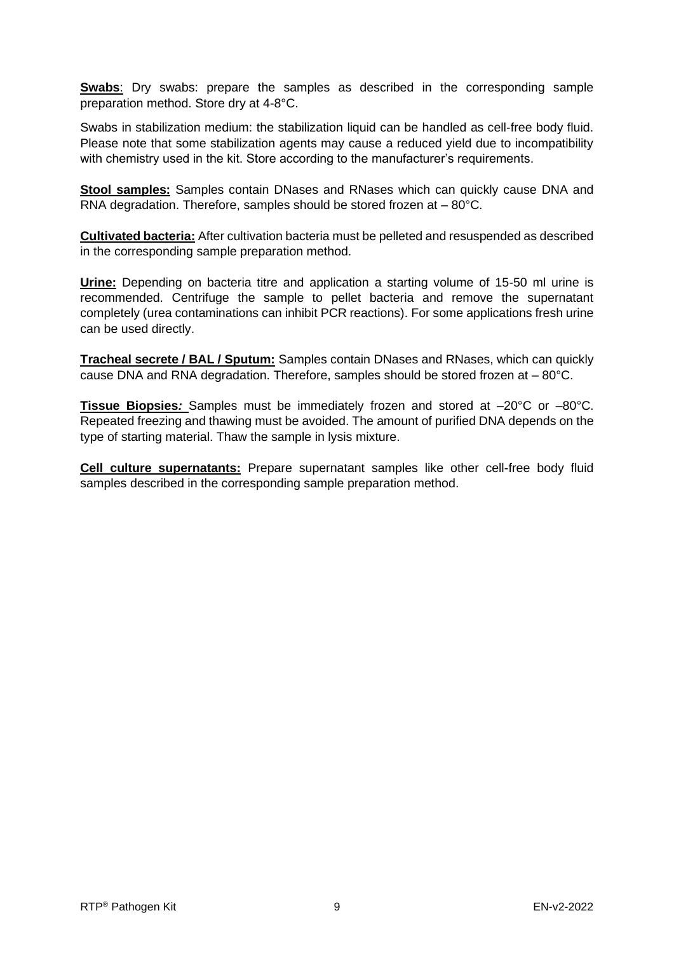**Swabs:** Dry swabs: prepare the samples as described in the corresponding sample preparation method. Store dry at 4-8°C.

Swabs in stabilization medium: the stabilization liquid can be handled as cell-free body fluid. Please note that some stabilization agents may cause a reduced yield due to incompatibility with chemistry used in the kit. Store according to the manufacturer's requirements.

**Stool samples:** Samples contain DNases and RNases which can quickly cause DNA and RNA degradation. Therefore, samples should be stored frozen at – 80°C.

**Cultivated bacteria:** After cultivation bacteria must be pelleted and resuspended as described in the corresponding sample preparation method.

**Urine:** Depending on bacteria titre and application a starting volume of 15-50 ml urine is recommended. Centrifuge the sample to pellet bacteria and remove the supernatant completely (urea contaminations can inhibit PCR reactions). For some applications fresh urine can be used directly.

**Tracheal secrete / BAL / Sputum:** Samples contain DNases and RNases, which can quickly cause DNA and RNA degradation. Therefore, samples should be stored frozen at – 80°C.

**Tissue Biopsies***:* Samples must be immediately frozen and stored at –20°C or –80°C. Repeated freezing and thawing must be avoided. The amount of purified DNA depends on the type of starting material. Thaw the sample in lysis mixture.

**Cell culture supernatants:** Prepare supernatant samples like other cell-free body fluid samples described in the corresponding sample preparation method.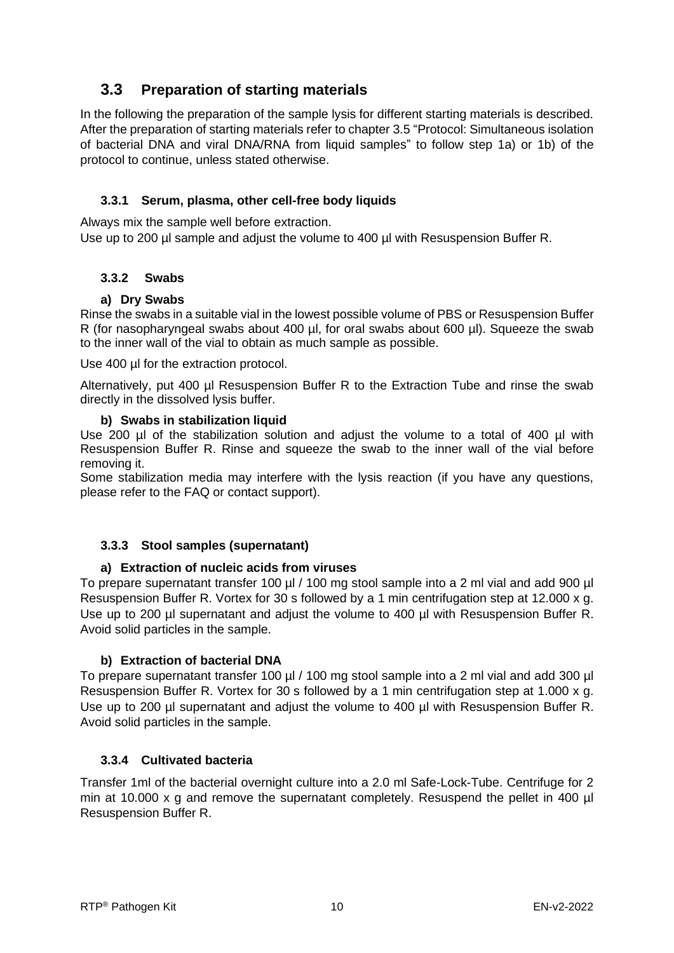### <span id="page-10-0"></span>**3.3 Preparation of starting materials**

In the following the preparation of the sample lysis for different starting materials is described. After the preparation of starting materials refer to chapter 3.5 "Protocol: Simultaneous isolation of bacterial DNA and viral DNA/RNA from liquid samples" to follow step 1a) or 1b) of the protocol to continue, unless stated otherwise.

#### **3.3.1 Serum, plasma, other cell-free body liquids**

<span id="page-10-1"></span>Always mix the sample well before extraction.

Use up to 200 µl sample and adjust the volume to 400 µl with Resuspension Buffer R.

#### <span id="page-10-2"></span>**3.3.2 Swabs**

#### **a) Dry Swabs**

Rinse the swabs in a suitable vial in the lowest possible volume of PBS or Resuspension Buffer R (for nasopharyngeal swabs about 400 µl, for oral swabs about 600 µl). Squeeze the swab to the inner wall of the vial to obtain as much sample as possible.

Use 400 µl for the extraction protocol.

Alternatively, put 400 µl Resuspension Buffer R to the Extraction Tube and rinse the swab directly in the dissolved lysis buffer.

#### **b) Swabs in stabilization liquid**

Use 200 µl of the stabilization solution and adjust the volume to a total of 400 µl with Resuspension Buffer R. Rinse and squeeze the swab to the inner wall of the vial before removing it.

Some stabilization media may interfere with the lysis reaction (if you have any questions, please refer to the FAQ or contact support).

#### <span id="page-10-3"></span>**3.3.3 Stool samples (supernatant)**

#### **a) Extraction of nucleic acids from viruses**

To prepare supernatant transfer 100 ul / 100 mg stool sample into a 2 ml vial and add 900 ul Resuspension Buffer R. Vortex for 30 s followed by a 1 min centrifugation step at 12.000 x g. Use up to 200 µl supernatant and adjust the volume to 400 µl with Resuspension Buffer R. Avoid solid particles in the sample.

#### **b) Extraction of bacterial DNA**

To prepare supernatant transfer 100 µl / 100 mg stool sample into a 2 ml vial and add 300 µl Resuspension Buffer R. Vortex for 30 s followed by a 1 min centrifugation step at 1.000 x g. Use up to 200 µl supernatant and adjust the volume to 400 µl with Resuspension Buffer R. Avoid solid particles in the sample.

#### **3.3.4 Cultivated bacteria**

<span id="page-10-4"></span>Transfer 1ml of the bacterial overnight culture into a 2.0 ml Safe-Lock-Tube. Centrifuge for 2 min at 10.000 x g and remove the supernatant completely. Resuspend the pellet in 400 µl Resuspension Buffer R.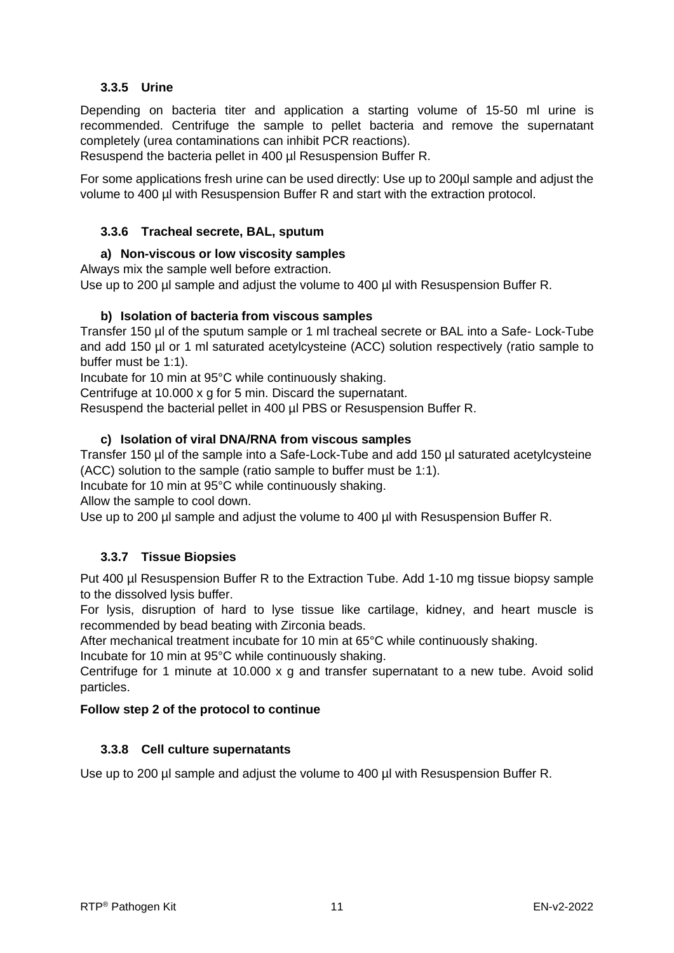#### **3.3.5 Urine**

<span id="page-11-0"></span>Depending on bacteria titer and application a starting volume of 15-50 ml urine is recommended. Centrifuge the sample to pellet bacteria and remove the supernatant completely (urea contaminations can inhibit PCR reactions).

Resuspend the bacteria pellet in 400 ul Resuspension Buffer R.

For some applications fresh urine can be used directly: Use up to 200µl sample and adjust the volume to 400 µl with Resuspension Buffer R and start with the extraction protocol.

#### <span id="page-11-1"></span>**3.3.6 Tracheal secrete, BAL, sputum**

#### **a) Non-viscous or low viscosity samples**

Always mix the sample well before extraction.

Use up to 200 µl sample and adjust the volume to 400 µl with Resuspension Buffer R.

#### **b) Isolation of bacteria from viscous samples**

Transfer 150 µl of the sputum sample or 1 ml tracheal secrete or BAL into a Safe- Lock-Tube and add 150 µl or 1 ml saturated acetylcysteine (ACC) solution respectively (ratio sample to buffer must be 1:1).

Incubate for 10 min at 95°C while continuously shaking.

Centrifuge at 10.000 x g for 5 min. Discard the supernatant.

Resuspend the bacterial pellet in 400 ul PBS or Resuspension Buffer R.

#### **c) Isolation of viral DNA/RNA from viscous samples**

Transfer 150 µl of the sample into a Safe-Lock-Tube and add 150 µl saturated acetylcysteine (ACC) solution to the sample (ratio sample to buffer must be 1:1).

Incubate for 10 min at 95°C while continuously shaking.

Allow the sample to cool down.

Use up to 200 µl sample and adjust the volume to 400 µl with Resuspension Buffer R.

#### **3.3.7 Tissue Biopsies**

<span id="page-11-2"></span>Put 400 µl Resuspension Buffer R to the Extraction Tube. Add 1-10 mg tissue biopsy sample to the dissolved lysis buffer.

For lysis, disruption of hard to lyse tissue like cartilage, kidney, and heart muscle is recommended by bead beating with Zirconia beads.

After mechanical treatment incubate for 10 min at 65°C while continuously shaking.

Incubate for 10 min at 95°C while continuously shaking.

Centrifuge for 1 minute at 10.000 x g and transfer supernatant to a new tube. Avoid solid particles.

#### **Follow step 2 of the protocol to continue**

#### <span id="page-11-3"></span>**3.3.8 Cell culture supernatants**

Use up to 200 µl sample and adjust the volume to 400 µl with Resuspension Buffer R.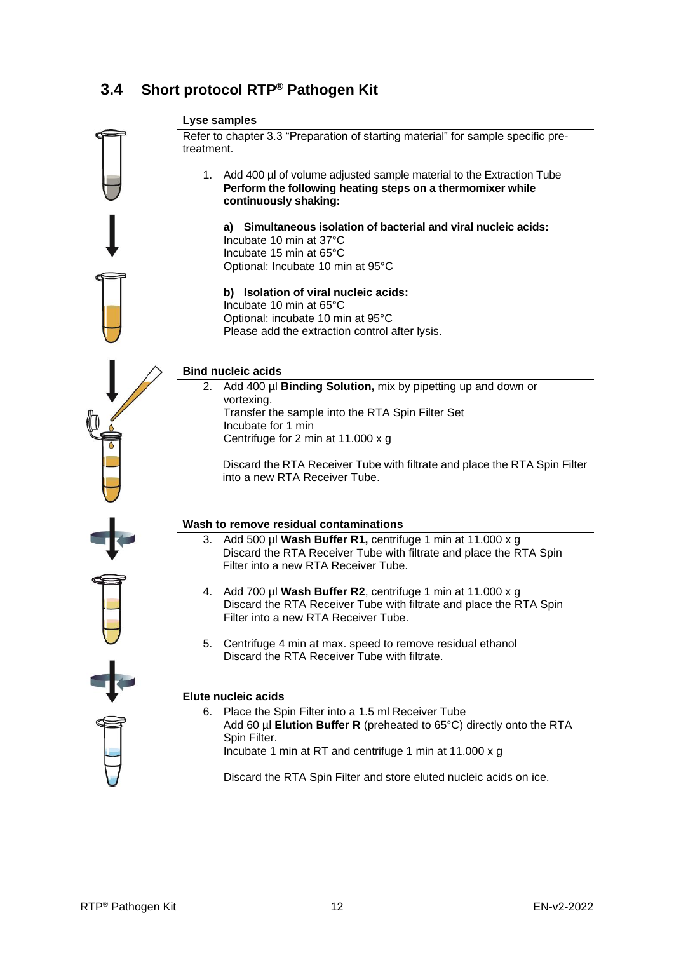### <span id="page-12-0"></span>**3.4 Short protocol RTP® Pathogen Kit**

#### **Lyse samples**

Refer to chapter 3.3 "Preparation of starting material" for sample specific pretreatment.

1. Add 400 µl of volume adjusted sample material to the Extraction Tube **Perform the following heating steps on a thermomixer while continuously shaking:**

**a) Simultaneous isolation of bacterial and viral nucleic acids:**  Incubate 10 min at 37°C Incubate 15 min at 65°C Optional: Incubate 10 min at 95°C

**b) Isolation of viral nucleic acids:**  Incubate 10 min at 65°C Optional: incubate 10 min at 95°C Please add the extraction control after lysis.

#### **Bind nucleic acids**

2. Add 400 µl **Binding Solution,** mix by pipetting up and down or vortexing. Transfer the sample into the RTA Spin Filter Set Incubate for 1 min Centrifuge for 2 min at 11.000 x g

Discard the RTA Receiver Tube with filtrate and place the RTA Spin Filter into a new RTA Receiver Tube.

#### **Wash to remove residual contaminations**

- 3. Add 500 µl **Wash Buffer R1,** centrifuge 1 min at 11.000 x g Discard the RTA Receiver Tube with filtrate and place the RTA Spin Filter into a new RTA Receiver Tube.
- 4. Add 700 µl **Wash Buffer R2**, centrifuge 1 min at 11.000 x g Discard the RTA Receiver Tube with filtrate and place the RTA Spin Filter into a new RTA Receiver Tube.
- 5. Centrifuge 4 min at max. speed to remove residual ethanol Discard the RTA Receiver Tube with filtrate.

#### **Elute nucleic acids**

6. Place the Spin Filter into a 1.5 ml Receiver Tube Add 60 µl **Elution Buffer R** (preheated to 65°C) directly onto the RTA Spin Filter. Incubate 1 min at RT and centrifuge 1 min at 11.000 x g

Discard the RTA Spin Filter and store eluted nucleic acids on ice.



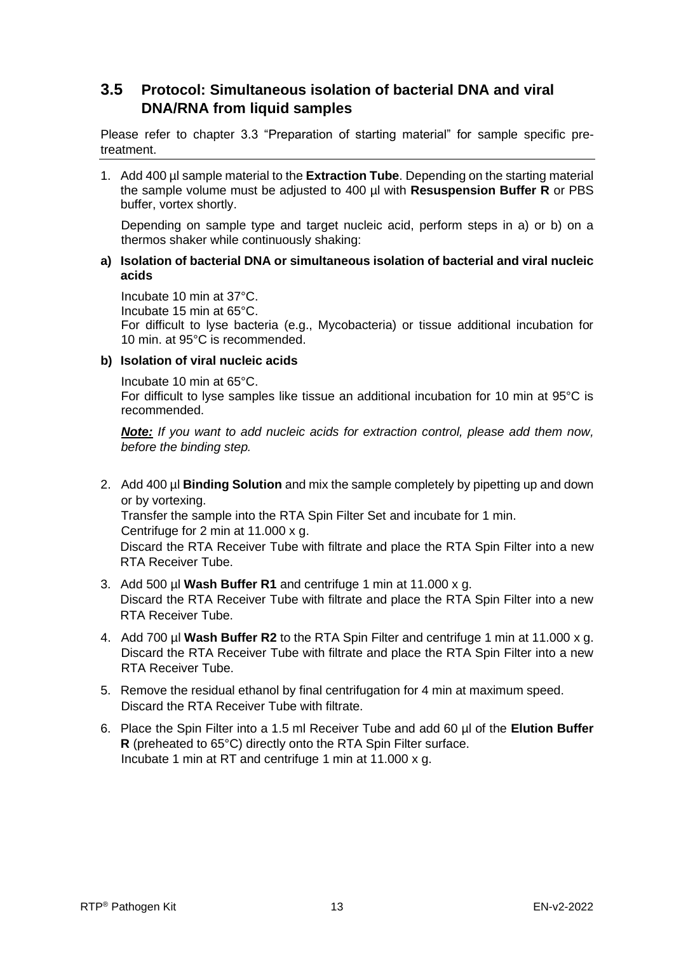### <span id="page-13-0"></span>**3.5 Protocol: Simultaneous isolation of bacterial DNA and viral DNA/RNA from liquid samples**

Please refer to chapter 3.3 "Preparation of starting material" for sample specific pretreatment.

1. Add 400 µl sample material to the **Extraction Tube**. Depending on the starting material the sample volume must be adjusted to 400 µl with **Resuspension Buffer R** or PBS buffer, vortex shortly.

Depending on sample type and target nucleic acid, perform steps in a) or b) on a thermos shaker while continuously shaking:

#### **a) Isolation of bacterial DNA or simultaneous isolation of bacterial and viral nucleic acids**

Incubate 10 min at 37°C. Incubate 15 min at 65°C. For difficult to lyse bacteria (e.g., Mycobacteria) or tissue additional incubation for 10 min. at 95°C is recommended.

#### **b) Isolation of viral nucleic acids**

Incubate 10 min at 65°C. For difficult to lyse samples like tissue an additional incubation for 10 min at 95°C is recommended.

*Note: If you want to add nucleic acids for extraction control, please add them now, before the binding step.* 

2. Add 400 µl **Binding Solution** and mix the sample completely by pipetting up and down or by vortexing.

Transfer the sample into the RTA Spin Filter Set and incubate for 1 min. Centrifuge for 2 min at 11.000 x g.

Discard the RTA Receiver Tube with filtrate and place the RTA Spin Filter into a new RTA Receiver Tube.

- 3. Add 500 µl **Wash Buffer R1** and centrifuge 1 min at 11.000 x g. Discard the RTA Receiver Tube with filtrate and place the RTA Spin Filter into a new RTA Receiver Tube.
- 4. Add 700 µl **Wash Buffer R2** to the RTA Spin Filter and centrifuge 1 min at 11.000 x g. Discard the RTA Receiver Tube with filtrate and place the RTA Spin Filter into a new RTA Receiver Tube.
- 5. Remove the residual ethanol by final centrifugation for 4 min at maximum speed. Discard the RTA Receiver Tube with filtrate.
- 6. Place the Spin Filter into a 1.5 ml Receiver Tube and add 60 µl of the **Elution Buffer R** (preheated to 65°C) directly onto the RTA Spin Filter surface. Incubate 1 min at RT and centrifuge 1 min at 11.000 x g.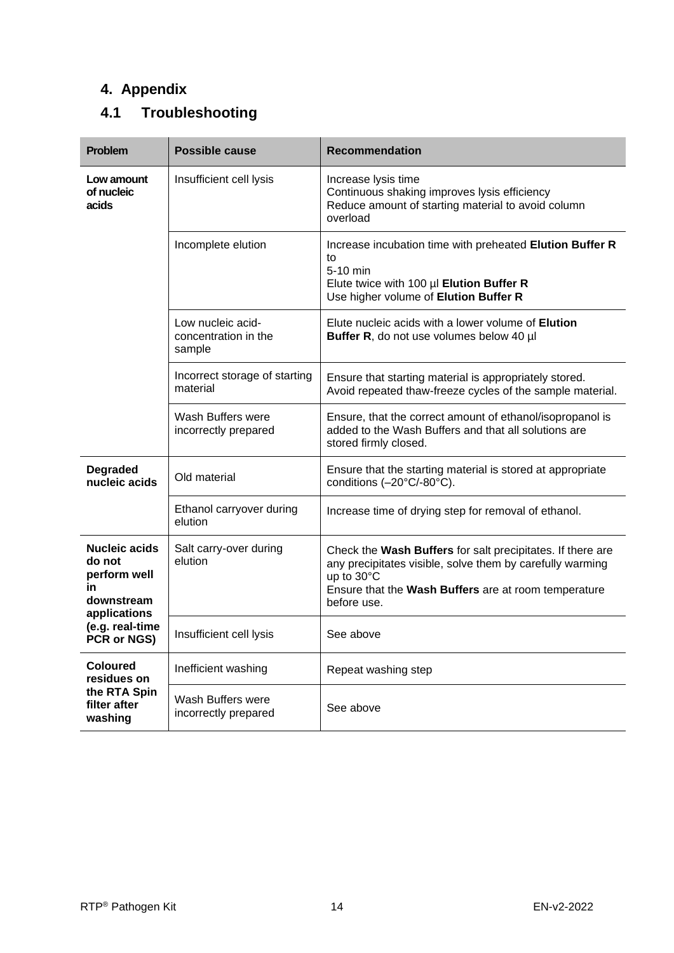# <span id="page-14-0"></span>**4. Appendix**

# <span id="page-14-1"></span>**4.1 Troubleshooting**

| <b>Problem</b>                                                                     | <b>Possible cause</b>                               | <b>Recommendation</b>                                                                                                                                                                                        |
|------------------------------------------------------------------------------------|-----------------------------------------------------|--------------------------------------------------------------------------------------------------------------------------------------------------------------------------------------------------------------|
| Low amount<br>of nucleic<br>acids                                                  | Insufficient cell lysis                             | Increase lysis time<br>Continuous shaking improves lysis efficiency<br>Reduce amount of starting material to avoid column<br>overload                                                                        |
|                                                                                    | Incomplete elution                                  | Increase incubation time with preheated Elution Buffer R<br>to<br>5-10 min<br>Elute twice with 100 µl Elution Buffer R<br>Use higher volume of Elution Buffer R                                              |
|                                                                                    | Low nucleic acid-<br>concentration in the<br>sample | Elute nucleic acids with a lower volume of <b>Elution</b><br>Buffer R, do not use volumes below 40 µl                                                                                                        |
|                                                                                    | Incorrect storage of starting<br>material           | Ensure that starting material is appropriately stored.<br>Avoid repeated thaw-freeze cycles of the sample material.                                                                                          |
|                                                                                    | Wash Buffers were<br>incorrectly prepared           | Ensure, that the correct amount of ethanol/isopropanol is<br>added to the Wash Buffers and that all solutions are<br>stored firmly closed.                                                                   |
| <b>Degraded</b><br>nucleic acids                                                   | Old material                                        | Ensure that the starting material is stored at appropriate<br>conditions (-20°C/-80°C).                                                                                                                      |
|                                                                                    | Ethanol carryover during<br>elution                 | Increase time of drying step for removal of ethanol.                                                                                                                                                         |
| <b>Nucleic acids</b><br>do not<br>perform well<br>in<br>downstream<br>applications | Salt carry-over during<br>elution                   | Check the Wash Buffers for salt precipitates. If there are<br>any precipitates visible, solve them by carefully warming<br>up to 30°C<br>Ensure that the Wash Buffers are at room temperature<br>before use. |
| (e.g. real-time<br>PCR or NGS)                                                     | Insufficient cell lysis                             | See above                                                                                                                                                                                                    |
| <b>Coloured</b><br>residues on                                                     | Inefficient washing                                 | Repeat washing step                                                                                                                                                                                          |
| the RTA Spin<br>filter after<br>washing                                            | Wash Buffers were<br>incorrectly prepared           | See above                                                                                                                                                                                                    |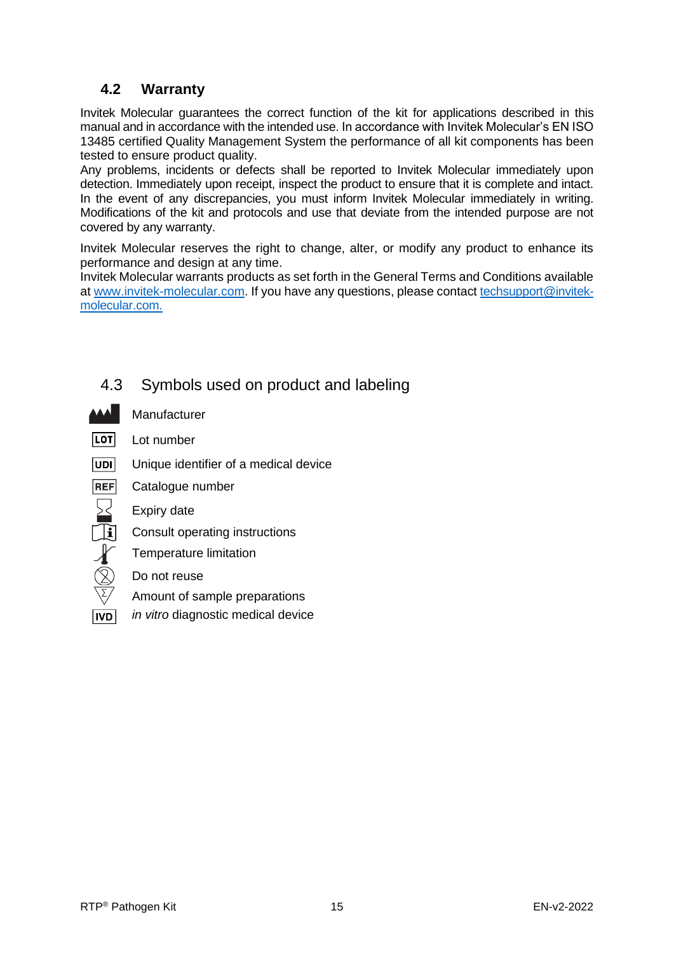### <span id="page-15-0"></span>**4.2 Warranty**

Invitek Molecular guarantees the correct function of the kit for applications described in this manual and in accordance with the intended use. In accordance with Invitek Molecular's EN ISO 13485 certified Quality Management System the performance of all kit components has been tested to ensure product quality.

Any problems, incidents or defects shall be reported to Invitek Molecular immediately upon detection. Immediately upon receipt, inspect the product to ensure that it is complete and intact. In the event of any discrepancies, you must inform Invitek Molecular immediately in writing. Modifications of the kit and protocols and use that deviate from the intended purpose are not covered by any warranty.

Invitek Molecular reserves the right to change, alter, or modify any product to enhance its performance and design at any time.

Invitek Molecular warrants products as set forth in the General Terms and Conditions available a[t www.invitek-molecular.com.](http://www.invitek-molecular.com/) If you have any questions, please contact [techsupport@invitek](mailto:techsupport@invitek-molecular.com)[molecular.com.](mailto:techsupport@invitek-molecular.com)

<span id="page-15-1"></span>

 $\overline{\textbf{T}}$ i

# 4.3 Symbols used on product and labeling

- Manufacturer
- LOT Lot number
- $|UDI|$ Unique identifier of a medical device
- **REF** Catalogue number
	- Expiry date
	- Consult operating instructions
	- Temperature limitation
	- Do not reuse
	- Amount of sample preparations
- *in vitro* diagnostic medical device**IVD**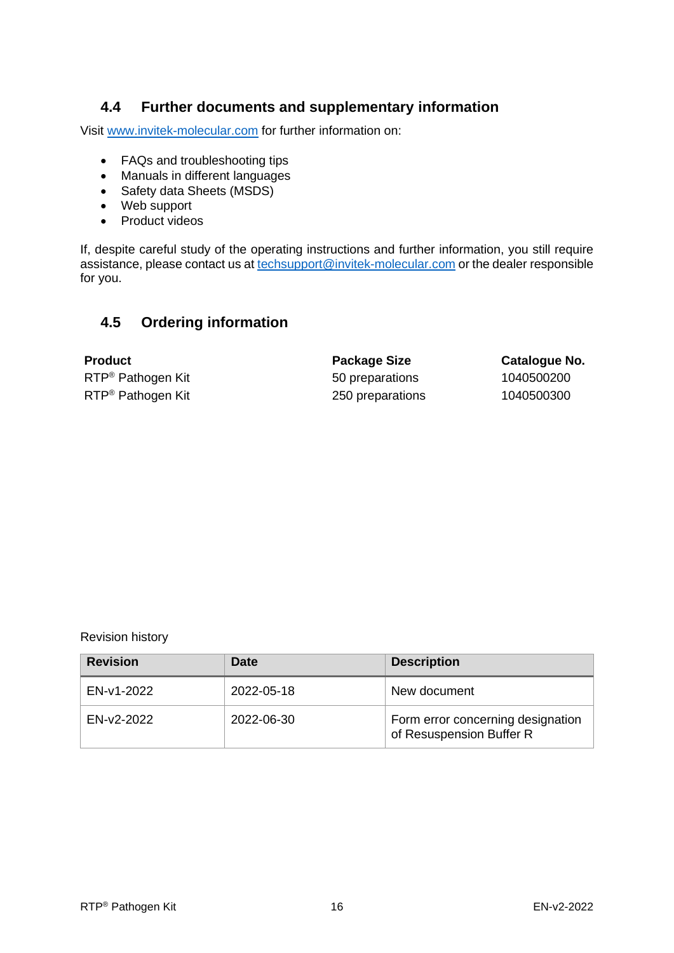### <span id="page-16-0"></span>**4.4 Further documents and supplementary information**

Visit [www.invitek-molecular.com](http://www.invitek-molecular.com/) for further information on:

- FAQs and troubleshooting tips
- Manuals in different languages
- Safety data Sheets (MSDS)
- Web support
- Product videos

If, despite careful study of the operating instructions and further information, you still require assistance, please contact us at [techsupport@invitek-molecular.com](mailto:techsupport@invitek-molecular.com) or the dealer responsible for you.

### <span id="page-16-1"></span>**4.5 Ordering information**

**Product Package Size Catalogue No.** RTP<sup>®</sup> Pathogen Kit **1040500200** 50 preparations 1040500200 RTP<sup>®</sup> Pathogen Kit 250 preparations 1040500300

Revision history

| <b>Revision</b> | <b>Date</b> | <b>Description</b>                                            |  |
|-----------------|-------------|---------------------------------------------------------------|--|
| EN-v1-2022      | 2022-05-18  | New document                                                  |  |
| EN-v2-2022      | 2022-06-30  | Form error concerning designation<br>of Resuspension Buffer R |  |